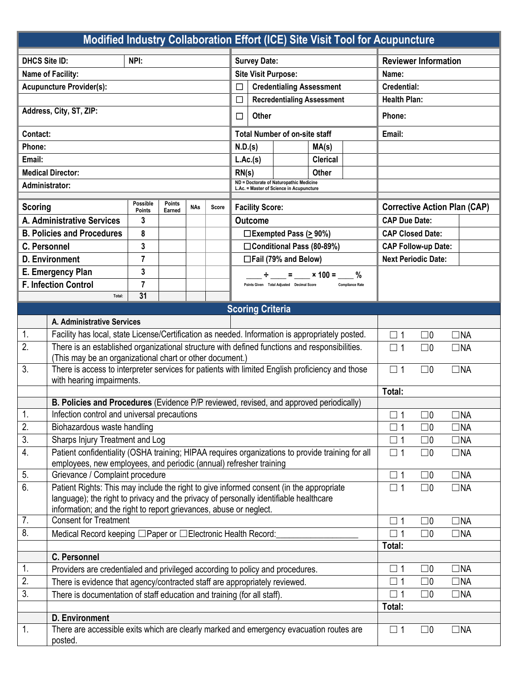| Modified Industry Collaboration Effort (ICE) Site Visit Tool for Acupuncture                           |                                                                                                                            |                    |                        |                                        |                            |                                                                                     |                                     |                                           |                             |                         |                            |             |           |
|--------------------------------------------------------------------------------------------------------|----------------------------------------------------------------------------------------------------------------------------|--------------------|------------------------|----------------------------------------|----------------------------|-------------------------------------------------------------------------------------|-------------------------------------|-------------------------------------------|-----------------------------|-------------------------|----------------------------|-------------|-----------|
| <b>DHCS Site ID:</b><br>NPI:                                                                           |                                                                                                                            |                    |                        |                                        | <b>Survey Date:</b>        |                                                                                     |                                     |                                           | <b>Reviewer Information</b> |                         |                            |             |           |
| Name of Facility:                                                                                      |                                                                                                                            |                    |                        |                                        | <b>Site Visit Purpose:</b> |                                                                                     |                                     |                                           | Name:                       |                         |                            |             |           |
| <b>Acupuncture Provider(s):</b>                                                                        |                                                                                                                            |                    |                        | <b>Credentialing Assessment</b><br>□   |                            |                                                                                     |                                     |                                           | <b>Credential:</b>          |                         |                            |             |           |
|                                                                                                        |                                                                                                                            |                    |                        | <b>Recredentialing Assessment</b><br>□ |                            |                                                                                     |                                     | <b>Health Plan:</b>                       |                             |                         |                            |             |           |
| Address, City, ST, ZIP:                                                                                |                                                                                                                            |                    |                        | Other<br>□                             |                            |                                                                                     |                                     | Phone:                                    |                             |                         |                            |             |           |
| Contact:                                                                                               |                                                                                                                            |                    |                        | <b>Total Number of on-site staff</b>   |                            |                                                                                     |                                     | Email:                                    |                             |                         |                            |             |           |
| Phone:                                                                                                 |                                                                                                                            |                    |                        | N.D.(s)<br>MA(s)                       |                            |                                                                                     |                                     |                                           |                             |                         |                            |             |           |
| Email:                                                                                                 |                                                                                                                            |                    |                        | L.Ac.(s)<br><b>Clerical</b>            |                            |                                                                                     |                                     |                                           |                             |                         |                            |             |           |
| <b>Medical Director:</b>                                                                               |                                                                                                                            |                    |                        | RN(s)                                  |                            |                                                                                     | Other                               |                                           |                             |                         |                            |             |           |
| Administrator:                                                                                         |                                                                                                                            |                    |                        |                                        |                            | ND = Doctorate of Naturopathic Medicine<br>L.Ac. = Master of Science in Acupuncture |                                     |                                           |                             |                         |                            |             |           |
| Possible<br><b>Points</b><br><b>Scoring</b><br><b>NAs</b><br>Score                                     |                                                                                                                            |                    | <b>Facility Score:</b> |                                        |                            |                                                                                     | <b>Corrective Action Plan (CAP)</b> |                                           |                             |                         |                            |             |           |
| A. Administrative Services                                                                             |                                                                                                                            | <b>Points</b><br>3 | Earned                 |                                        |                            | <b>Outcome</b>                                                                      |                                     |                                           | <b>CAP Due Date:</b>        |                         |                            |             |           |
| <b>B. Policies and Procedures</b>                                                                      |                                                                                                                            | 8                  |                        |                                        |                            | $\Box$ Exempted Pass ( $\geq$ 90%)                                                  |                                     |                                           |                             | <b>CAP Closed Date:</b> |                            |             |           |
| <b>C. Personnel</b>                                                                                    |                                                                                                                            | 3                  |                        |                                        |                            | □Conditional Pass (80-89%)                                                          |                                     |                                           |                             |                         | <b>CAP Follow-up Date:</b> |             |           |
|                                                                                                        | <b>D.</b> Environment                                                                                                      | $\overline{7}$     |                        |                                        |                            | □Fail (79% and Below)                                                               |                                     |                                           |                             |                         | <b>Next Periodic Date:</b> |             |           |
|                                                                                                        |                                                                                                                            | 3                  |                        |                                        |                            |                                                                                     |                                     |                                           |                             |                         |                            |             |           |
| E. Emergency Plan<br><b>F. Infection Control</b>                                                       |                                                                                                                            | $\overline{7}$     |                        |                                        |                            |                                                                                     |                                     | Points Given Total Adjusted Decimal Score | $=$ $\times$ 100 = %        | <b>Compliance Rate</b>  |                            |             |           |
|                                                                                                        | Total:                                                                                                                     | 31                 |                        |                                        |                            |                                                                                     |                                     |                                           |                             |                         |                            |             |           |
|                                                                                                        |                                                                                                                            |                    |                        |                                        |                            |                                                                                     | <b>Scoring Criteria</b>             |                                           |                             |                         |                            |             |           |
|                                                                                                        | A. Administrative Services                                                                                                 |                    |                        |                                        |                            |                                                                                     |                                     |                                           |                             |                         |                            |             |           |
| 1.                                                                                                     | Facility has local, state License/Certification as needed. Information is appropriately posted.                            |                    |                        |                                        |                            |                                                                                     |                                     |                                           |                             |                         | $\square$ 1                | $\square$ 0 | $\Box$ NA |
| $\overline{2}$ .                                                                                       | There is an established organizational structure with defined functions and responsibilities.                              |                    |                        |                                        |                            |                                                                                     |                                     |                                           |                             |                         | $\square$ 1                | $\square$ 0 | $\Box$ NA |
|                                                                                                        | (This may be an organizational chart or other document.)                                                                   |                    |                        |                                        |                            |                                                                                     |                                     |                                           |                             |                         |                            |             |           |
| 3.                                                                                                     | There is access to interpreter services for patients with limited English proficiency and those                            |                    |                        |                                        |                            |                                                                                     |                                     | $\square$ 1                               | $\square$ 0                 | $\Box$ NA               |                            |             |           |
|                                                                                                        | with hearing impairments.                                                                                                  |                    |                        |                                        |                            |                                                                                     |                                     | Total:                                    |                             |                         |                            |             |           |
|                                                                                                        | B. Policies and Procedures (Evidence P/P reviewed, revised, and approved periodically)                                     |                    |                        |                                        |                            |                                                                                     |                                     |                                           |                             |                         |                            |             |           |
| $\mathbf{1}$ .                                                                                         | Infection control and universal precautions                                                                                |                    |                        |                                        |                            |                                                                                     |                                     |                                           | $\Box$ 1                    | $\square$ 0             | $\Box$ NA                  |             |           |
| 2.<br>Biohazardous waste handling                                                                      |                                                                                                                            |                    |                        |                                        |                            |                                                                                     |                                     |                                           | $\square$ 1                 | $\square$ 0             | $\Box$ NA                  |             |           |
| $\overline{3}$ .<br>Sharps Injury Treatment and Log                                                    |                                                                                                                            |                    |                        |                                        |                            |                                                                                     |                                     |                                           | $\square$ 1                 | $\square$ 0             | $\Box$ NA                  |             |           |
| 4.<br>Patient confidentiality (OSHA training; HIPAA requires organizations to provide training for all |                                                                                                                            |                    |                        |                                        |                            |                                                                                     |                                     | $\square$ 1                               | $\square$ 0                 | $\Box$ NA               |                            |             |           |
| employees, new employees, and periodic (annual) refresher training                                     |                                                                                                                            |                    |                        |                                        |                            |                                                                                     |                                     |                                           | $\Box$ 1                    |                         |                            |             |           |
| 5.<br>6.                                                                                               | Grievance / Complaint procedure<br>Patient Rights: This may include the right to give informed consent (in the appropriate |                    |                        |                                        |                            |                                                                                     |                                     |                                           |                             |                         | $\square$ 0                | $\Box$ NA   |           |
|                                                                                                        | language); the right to privacy and the privacy of personally identifiable healthcare                                      |                    |                        |                                        |                            |                                                                                     |                                     |                                           |                             |                         | $\Box$ 1                   | $\square$ 0 | $\Box$ NA |
|                                                                                                        | information; and the right to report grievances, abuse or neglect.                                                         |                    |                        |                                        |                            |                                                                                     |                                     |                                           |                             |                         |                            |             |           |
| 7.                                                                                                     | <b>Consent for Treatment</b>                                                                                               |                    |                        |                                        |                            |                                                                                     |                                     |                                           |                             | $\square$ 1             | $\square$ 0                | $\Box$ NA   |           |
| 8.                                                                                                     | Medical Record keeping □ Paper or □ Electronic Health Record:                                                              |                    |                        |                                        |                            |                                                                                     |                                     |                                           | $\Box$ 1                    | $\square$ 0             | $\Box$ NA                  |             |           |
|                                                                                                        |                                                                                                                            |                    |                        |                                        |                            |                                                                                     |                                     | Total:                                    |                             |                         |                            |             |           |
|                                                                                                        | C. Personnel                                                                                                               |                    |                        |                                        |                            |                                                                                     |                                     |                                           |                             |                         |                            |             |           |
| 1.                                                                                                     | Providers are credentialed and privileged according to policy and procedures.                                              |                    |                        |                                        |                            |                                                                                     |                                     | $\square$ 1                               | $\square$ 0                 | $\Box$ NA               |                            |             |           |
| 2.<br>There is evidence that agency/contracted staff are appropriately reviewed.                       |                                                                                                                            |                    |                        |                                        |                            |                                                                                     |                                     |                                           | $\square$ 1                 | $\square$ 0             | $\Box$ NA                  |             |           |
|                                                                                                        | $\overline{3}$ .<br>There is documentation of staff education and training (for all staff).                                |                    |                        |                                        |                            |                                                                                     |                                     |                                           |                             | $\square$ 1             | $\square$ 0                | $\Box$ NA   |           |
|                                                                                                        |                                                                                                                            |                    |                        |                                        |                            |                                                                                     |                                     |                                           |                             |                         | Total:                     |             |           |
| 1.                                                                                                     | D. Environment<br>There are accessible exits which are clearly marked and emergency evacuation routes are                  |                    |                        |                                        |                            |                                                                                     |                                     |                                           |                             |                         | $\square$ 1                | $\square$ 0 | $\Box$ NA |
|                                                                                                        | posted.                                                                                                                    |                    |                        |                                        |                            |                                                                                     |                                     |                                           |                             |                         |                            |             |           |